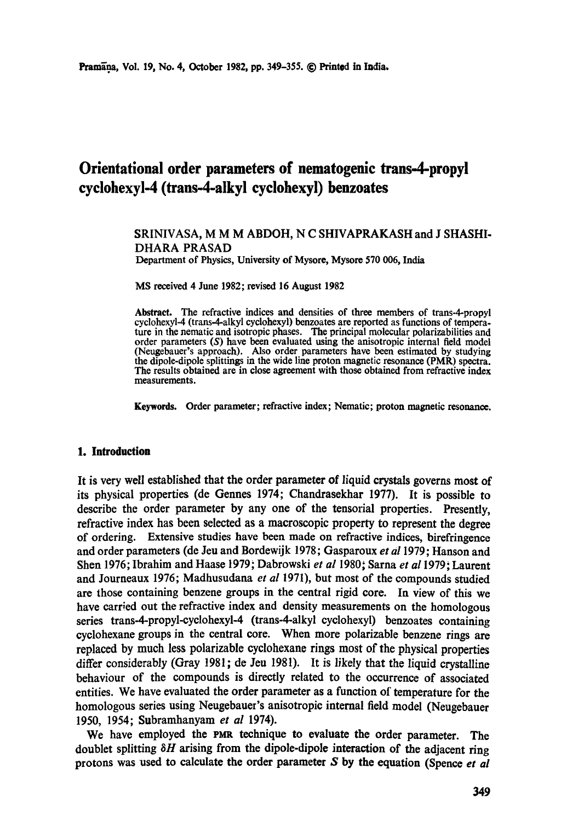# **Orientational order parameters of nematogenic trans-4-propyl cyclohexyl-4 (trans-4-alkyl eyclohexyl) benzoates**

### **SRINIVASA, M M M ABDOH, N C SHIVAPRAKASH and J SHASHI-DHARA** PRASAD Department of Physics, University of Mysore, Mysore 570 006, India

MS received 4 June 1982; revised 16 August 1982

Abstract. The refractive indices and densities of three members of trans-4-propyl cyclohexyl-4 (trans-4-alkyl cyclohexyl) benzoates are reported as functions of temperature in the nematic and isotropic phases. The principal molecular polarizabilities and order parameters (S) have been evaluated using the anisotropic internal field model (Neugebauer's approach). Also order parameters have been estimated by studying the dipole-dipole splittings in the wide line proton magnetic resonance (PMR) spectra. The results obtained are in close agreement with those obtained from refractive index measurements.

**Keywords.** Order parameter; refractive index; Nematic; proton magnetic resonance.

### **1. Introduction**

It is very well established that the order parameter of liquid crystals governs most of its physical properties (de Gennes 1974; Chandrasekhar 1977). It is possible to describe the order parameter by any one of the tensorial properties. Presently, refractive index has been selected as a macroscopic property to represent the degree of ordering. Extensive studies have been made on refractive indices, birefringence and order parameters (de Jeu and Bordewijk 1978; Gasparoux *et a11979;* Hanson and Shen 1976; Ibrahim and Haase 1979; Dabrowski *et al* 1980; Sarna *et al* 1979; Laurent and Journeaux 1976; Madhusudana *et al* 1971), but most of the compounds studied are those containing benzene groups in the central rigid core. In view of this we have carried out the refractive index and density measurements on the homologous series trans-4-propyl-cyclohexyl-4 (trans-4-alkyl cyclohexyl) benzoates containing cyclohexane groups in the central core. When more polarizable benzene rings are replaced by much less polarizable cyclohexane rings most of the physical properties differ considerably (Gray 1981; de Jeu 1981). It is likely that the liquid crystalline behaviour of the compounds is directly related to the occurrence of associated entities. We have evaluated the order parameter as a function of temperature for the homologous series using Neugebauer's anisotropic internal field model (Neugebauer 1950, 1954; Subramhanyam *et al* 1974).

We have employed the PMR technique to evaluate the order parameter. The doublet splitting  $\delta H$  arising from the dipole-dipole interaction of the adjacent ring protons was used to calculate the order parameter S by the equation (Spence *et al*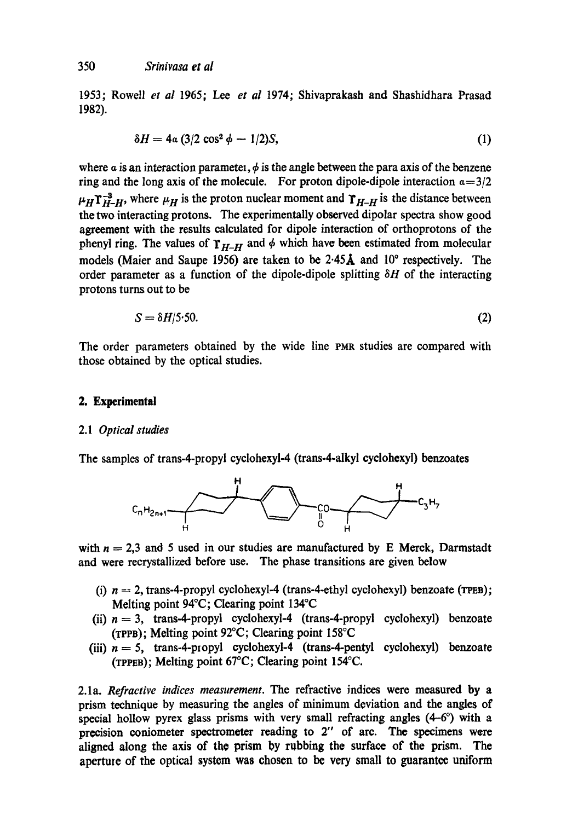1953; Rowetl *et al* 1965; Lee *et al* 1974; Shivaprakash and Shashidhara Prasad 1982).

$$
\delta H = 4a (3/2 \cos^2 \phi - 1/2)S, \qquad (1)
$$

where  $\alpha$  is an interaction parametel,  $\phi$  is the angle between the para axis of the benzene ring and the long axis of the molecule. For proton dipole-dipole interaction  $a=3/2$  $\mu_H \Upsilon_{H-H}^{-3}$ , where  $\mu_H$  is the proton nuclear moment and  $\Upsilon_{H-H}$  is the distance between the two interacting protons. The experimentally observed dipolar spectra show good agreement with the results calculated for dipole interaction of orthoprotons of the phenyl ring. The values of  $\gamma_{H-H}$  and  $\phi$  which have been estimated from molecular models (Maier and Saupe 1956) are taken to be  $2.45\text{\AA}$  and  $10^{\circ}$  respectively. The order parameter as a function of the dipole-dipole splitting  $\delta H$  of the interacting protons turns out to be

$$
S = \delta H/5.50.\tag{2}
$$

The order parameters obtained by the wide line PMR studies are compared with those obtained by the optical studies.

### **2. Experimental**

#### 2.1 *Optical studies*

The samples of trans-4-propyl cyclohexyl-4 (trans-4-alkyl cyclohexyl) benzoates



with  $n = 2,3$  and 5 used in our studies are manufactured by E Merck, Darmstadt and were recrystallized before use. The phase transitions are given below

- (i)  $n = 2$ , trans-4-propyl cyclohexyl-4 (trans-4-ethyl cyclohexyl) benzoate (TPEB); Melting point 94°C; Clearing point 134°C
- (ii)  $n = 3$ , trans-4-propyl cyclohexyl-4 (trans-4-propyl cyclohexyl) benzoate (TPPB); Melting point  $92^{\circ}$ C; Clearing point 158 $^{\circ}$ C
- (iii)  $n = 5$ , trans-4-propyl cyclohexyl-4 (trans-4-pentyl cyclohexyl) benzoate (TPPEB); Melting point 67°C; Clearing point 154°C.

2.1a. *Refractive indices measurement.* The refractive indices were measured by a prism technique by measuring the angles of minimum deviation and the angles of special hollow pyrex glass prisms with very small refracting angles  $(4-6^{\circ})$  with a precision coniometer spectrometer reading to 2" of arc. The specimens were aligned along the axis of the prism by rubbing the surface of the prism. The aperture of the optical system was chosen to be very small to guarantee uniform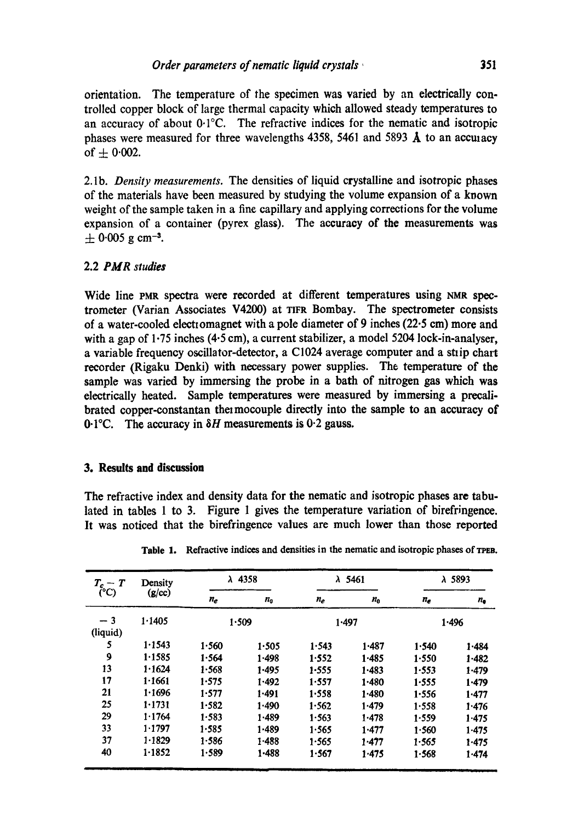orientation. The temperature of the specimen was varied by an electrically con. trolled copper block of large thermal capacity which allowed steady temperatures to an accuracy of about 0.1°C. The refractive indices for the nematic and isotropic phases were measured for three wavelengths 4358, 5461 and 5893  $\AA$  to an accuracy of  $+ 0.002$ .

2.lb. *Density measurements.* The densities of liquid crystalline and isotropic phases of the materials have been measured by studying the volume expansion of a known weight of the sample taken in a fine capillary and applying corrections for the volume expansion of a container (pyrex glass). The accuracy of the measurements was  $\pm$  0.005 g cm<sup>-3</sup>.

# 2.2 *PAIR studies*

Wide line PMR spectra were recorded at different temperatures using NMR spectrometer (Varian Associates V4200) at TIFR Bombay. The spectrometer consists of a water-cooled electiomagnet with a pole diameter of 9 inches (22.5 cm) more and with a gap of 1.75 inches (4.5 cm), a current stabilizer, a model 5204 lock-in-analyser. a variable frequency oscillator-detector, a C1024 average computer and a strip chart recorder (Rigaku Denki) with necessary power supplies. The temperature of the sample was varied by immersing the probe in a bath of nitrogen gas which was electrically heated. Sample temperatures were measured by immersing a precalibrated copper-constantan the mocouple directly into the sample to an accuracy of 0.1°C. The accuracy in  $\delta H$  measurements is 0.2 gauss.

## **3. Results and discussion**

The refractive index and density data for the nematic and isotropic phases are tabulated in tables 1 to 3. Figure 1 gives the temperature variation of birefringence. It was noticed that the birefringence values are much lower than those reported

| $T_c-T$<br>(C)   | Density<br>(g/cc) | $\lambda$ 4358 |                            | $\lambda$ 5461 |             | $\lambda$ 5893 |               |
|------------------|-------------------|----------------|----------------------------|----------------|-------------|----------------|---------------|
|                  |                   | $n_e$          | $n_{\scriptscriptstyle 0}$ | $n_e$          | $n_{\rm o}$ | $n_e$          | $n_{\bullet}$ |
| $-3$<br>(liquid) | 1.1405            | 1.509          |                            | 1.497          |             | 1.496          |               |
| 5                | 1.1543            | 1.560          | 1.505                      | 1.543          | 1.487       | 1.540          | 1.484         |
| 9                | 1.1585            | 1.564          | 1.498                      | 1.552          | 1.485       | 1.550          | $1 - 482$     |
| 13               | 1.1624            | 1.568          | 1.495                      | 1.555          | 1.483       | 1.553          | 1.479         |
| 17               | 1.1661            | 1.575          | $1 - 492$                  | 1.557          | 1.480       | 1.555          | 1.479         |
| 21               | 1.1696            | 1.577          | 1.491                      | 1.558          | 1.480       | 1.556          | 1.477         |
| 25               | 1.1731            | 1.582          | 1.490                      | 1.562          | 1.479       | 1.558          | 1.476         |
| 29               | 1.1764            | 1.583          | 1.489                      | 1.563          | 1.478       | 1.559          | 1.475         |
| 33               | 1.1797            | 1.585          | $1 - 489$                  | 1.565          | 1.477       | 1.560          | 1.475         |
| 37               | 1.1829            | 1.586          | 1.488                      | 1.565          | 1.477       | 1.565          | 1.475         |
| 40               | 1.1852            | 1.589          | $1 - 488$                  | 1.567          | 1.475       | 1.568          | 1.474         |

Table 1. Refractive indices and densities in the nematic and isotropic phases of TPEB.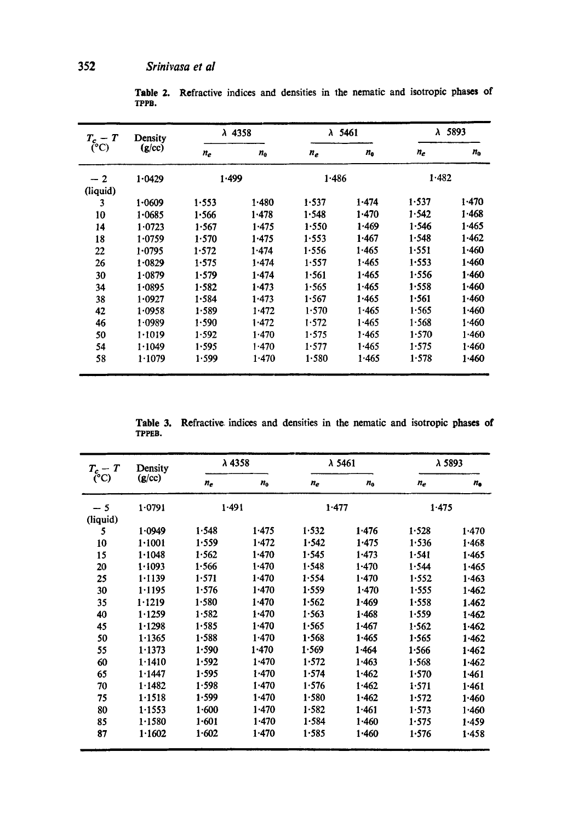| $T_c$ – T<br>$(^{\circ}C)$ | Density<br>(g/cc) | $\lambda$ 4358 |         | $\lambda$ 5461 |         | $\lambda$ 5893 |         |
|----------------------------|-------------------|----------------|---------|----------------|---------|----------------|---------|
|                            |                   | $n_e$          | $n_{0}$ | $n_e$          | $n_{0}$ | $n_e$          | $n_{0}$ |
| $-2$<br>(liquid)           | 1.0429            | 1.499          |         | 1.486          |         | 1.482          |         |
| 3                          | 1.0609            | 1.553          | 1.480   | 1.537          | 1.474   | 1.537          | 1.470   |
| 10                         | 1.0685            | 1.566          | 1.478   | 1.548          | 1.470   | 1.542          | 1.468   |
| 14                         | 1.0723            | 1.567          | 1.475   | 1.550          | 1.469   | 1.546          | 1.465   |
| 18                         | 1.0759            | 1.570          | 1.475   | 1.553          | 1.467   | 1.548          | 1.462   |
| 22                         | 1.0795            | 1.572          | 1.474   | 1.556          | 1.465   | 1.551          | 1.460   |
| 26                         | 1.0829            | 1.575          | 1.474   | 1.557          | 1.465   | 1.553          | 1.460   |
| 30                         | 1.0879            | 1.579          | 1.474   | 1.561          | 1.465   | 1.556          | 1.460   |
| 34                         | 1.0895            | 1.582          | 1.473   | 1.565          | 1.465   | 1.558          | 1.460   |
| 38                         | 1.0927            | 1.584          | 1.473   | 1.567          | 1.465   | 1.561          | 1.460   |
| 42                         | 1.0958            | 1.589          | 1.472   | 1.570          | 1.465   | 1.565          | 1.460   |
| 46                         | 1.0989            | 1.590          | 1.472   | 1.572          | 1.465   | 1.568          | 1.460   |
| 50                         | 1.1019            | 1.592          | 1.470   | 1.575          | 1.465   | 1.570          | 1.460   |
| 54                         | 1.1049            | 1.595          | 1.470   | 1.577          | 1.465   | 1.575          | 1.460   |
| 58                         | 1.1079            | 1.599          | 1.470   | 1.580          | 1.465   | 1.578          | 1.460   |

Table 2. Refractive indices and densities in the nematic and isotropic phases of TPPB.

Table **3.**  Refractive indices and densities in the nematic and isotropic phases of TPPEB.

| $T_{c} - T$ | Density<br>(g/cc) | $\lambda$ 4358 |           | λ 5461 |         | λ 5893 |               |
|-------------|-------------------|----------------|-----------|--------|---------|--------|---------------|
|             |                   | $n_e$          | $n_{0}$   | $n_e$  | $n_{0}$ | $n_e$  | $n_{\bullet}$ |
| $-5$        | 1.0791            | 1.491          |           | 1.477  |         | 1.475  |               |
| (liquid)    |                   |                |           |        |         |        |               |
| 5           | 1.0949            | 1.548          | 1.475     | 1.532  | 1.476   | 1.528  | 1.470         |
| 10          | 1.1001            | 1.559          | 1.472     | 1.542  | 1.475   | 1.536  | 1.468         |
| 15          | 1.1048            | 1.562          | 1.470     | 1.545  | 1.473   | 1.541  | 1.465         |
| 20          | 1.1093            | 1.566          | 1.470     | 1.548  | 1.470   | 1.544  | 1.465         |
| 25          | 1.1139            | 1.571          | 1.470     | 1.554  | 1.470   | 1.552  | 1.463         |
| 30          | 1.1195            | 1.576          | 1.470     | 1.559  | 1.470   | 1.555  | 1.462         |
| 35          | 1.1219            | 1.580          | 1.470     | 1.562  | 1.469   | 1.558  | 1.462         |
| 40          | 1.1259            | 1.582          | 1.470     | 1.563  | 1.468   | 1.559  | 1.462         |
| 45          | 1.1298            | 1.585          | 1.470     | 1.565  | 1.467   | 1.562  | 1.462         |
| 50          | 1.1365            | 1.588          | 1.470     | 1.568  | 1.465   | 1.565  | 1.462         |
| 55          | 1.1373            | 1.590          | $1 - 470$ | 1.569  | 1.464   | 1.566  | 1.462         |
| 60          | 1.1410            | 1.592          | 1.470     | 1.572  | 1.463   | 1.568  | 1.462         |
| 65          | 1.1447            | 1.595          | 1.470     | 1.574  | 1.462   | 1.570  | 1.461         |
| 70          | 1.1482            | 1.598          | 1.470     | 1.576  | 1.462   | 1.571  | 1.461         |
| 75          | 1.1518            | 1.599          | 1.470     | 1.580  | 1.462   | 1.572  | 1.460         |
| 80          | 1.1553            | 1.600          | 1.470     | 1.582  | 1.461   | 1.573  | 1.460         |
| 85          | 1.1580            | 1.601          | 1.470     | 1.584  | 1.460   | 1.575  | 1.459         |
| 87          | 1.1602            | 1.602          | 1.470     | 1.585  | 1.460   | 1.576  | 1.458         |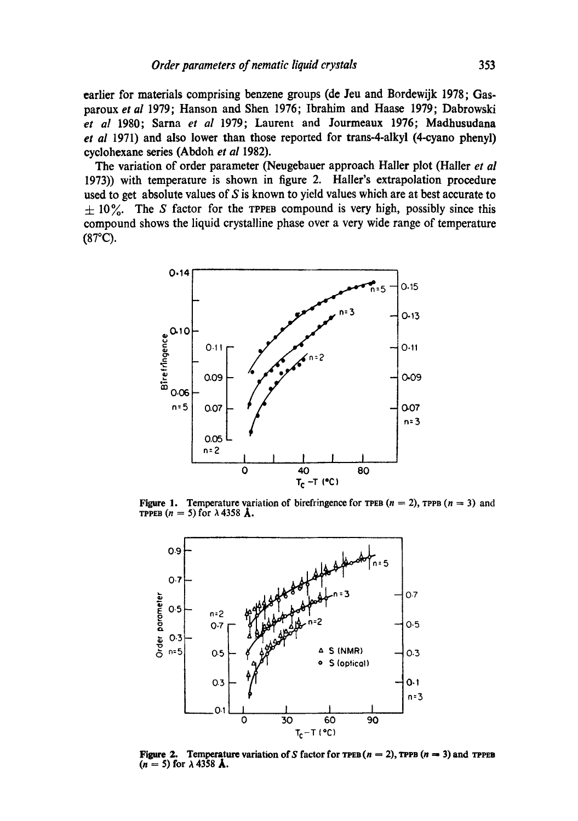**earlier for materials comprising benzene groups (de Jeu and Bordewijk 1978; Gasparoux** *et al* **1979; Hanson and Shen 1976; Ibrahim and Haase 1979; Dabrowski**  *et al* **1980; Sarna** *et al* **1979; Laurent and Jourmeaux 1976; Madhusudana**  *et al* **1971) and also lower than those reported for trans-4-alkyl (4-cyano phenyl) cyclohexane series (Abdoh** *et al* **1982).** 

**The variation of order parameter (Neugebauer approach Hailer plot (Hailer** *et al*  **1973)) with temperature is shown in figure 2. Haller's extrapolation procedure used to get absolute values of S is known to yield values which are at best accurate to**   $\pm 10\%$ . The S factor for the TPPEB compound is very high, possibly since this **compound shows the liquid crystalline phase over a very wide range of temperature**  (87°C).



**Figure 1.** Temperature variation of birefringence for TPEB  $(n = 2)$ , TPPB  $(n = 3)$  and TPPEB  $(n = 5)$  for  $\lambda$  4358 **A**.



**Figure 2.** Temperature variation of S factor for  $\text{TPEB}(n = 2)$ ,  $\text{TPPB}(n = 3)$  and  $\text{TPFB}$  $(n = 5)$  for  $\lambda$  4358 **Å**.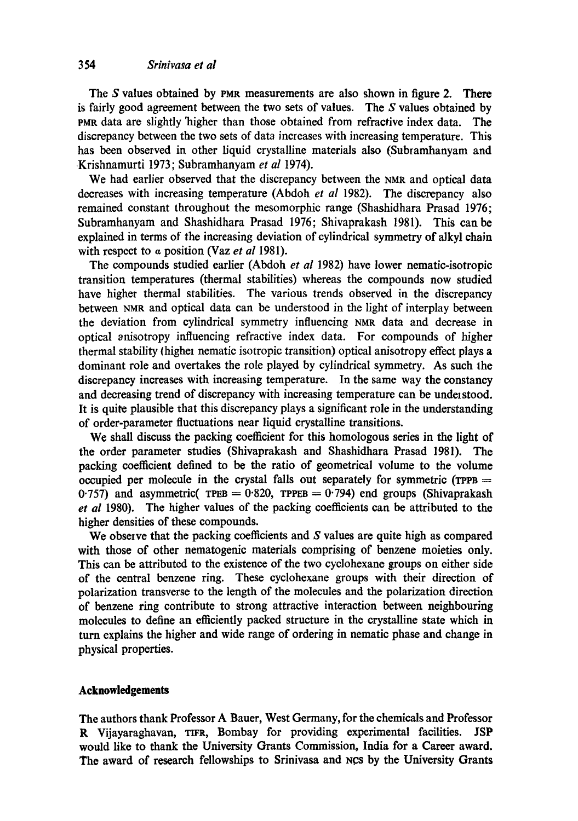### 3 54 *Srinivasa et al*

The S values obtained by PMR measurements are also shown in figure 2. **There**  is fairly good agreement between the two sets of values. The S values obtained by PMR data are slightly 'higher than those obtained from refractive index data. The discrepancy between the two sets of data increases with increasing temperature. This has been observed in other liquid crystalline materials also (Subramhanyam and Krishnamurti 1973; Subramhanyam *et al* 1974).

We had earlier observed that the discrepancy between the NMR and optical data decreases with increasing temperature (Abdoh *et al* 1982). The discrepancy also remained constant throughout the mesomorphic range (Shashidhara Prasad 1976; Subramhanyam and Shashidhara Prasad 1976; Shivaprakash 1981). This can be explained in terms of the increasing deviation of cylindrical symmetry of alkyl chain with respect to a position (Vaz *et al* 1981).

The compounds studied earlier (Abdoh *et al* 1982) have lower nematic-isotropie transition temperatures (thermal stabilities) whereas the compounds now studied have higher thermal stabilities. The various trends observed in the discrepancy between NMR and optical data can be understood in the light of interplay between the deviation from cylindrical symmetry influencing NMR data and decrease in optical anisotropy influencing refractive index data. For compounds of higher thermal stability {highel nematic isotropic transition) optical anisotropy effect plays a dominant role and overtakes the role played by cylindrical symmetry. As such the discrepancy increases with increasing temperature. In the same way the constancy and decreasing trend of discrepancy with increasing temperature can be understood. It is quite plausible that this discrepancy plays a significant role in the understanding of order-parameter fluctuations near liquid crystalline transitions.

We shall discuss the packing coefficient for this homologous series in the light of the order parameter studies (Shivaprakash and Shashidhara Prasad 1981). The packing coefficient defined to be the ratio of geometrical volume to the volume occupied per molecule in the crystal falls out separately for symmetric ( $TPPB$  = 0.757) and asymmetric( TPEB = 0.820, TPPEB = 0.794) end groups (Shivaprakash *et al* 1980). The higher values of the packing coefficients can be attributed to the higher densities of these compounds.

We observe that the packing coefficients and S values are quite high as compared with those of other nematogenic materials comprising of benzene moieties only. This can be attributed to the existence of the two cyclohexane groups on either side of the central benzene ring. These cyclohexane groups with their direction of polarization transverse to the length of the molecules and the polarization direction of benzene ring contribute to strong attractive interaction between neighbouring molecules to define an efficiently packed structure in the crystalline state which in turn explains the higher and wide range of ordering in nematic phase and change in physical properties.

### **Acknowledgements**

The authors thank Professor A Bauer, West Germany, for the chemicals and Professor R Vijayaraghavan, TIFR, Bombay for providing experimental facilities. JSP would like to thank the University Grants Commission, India for a Career award. The award of research fellowships to Srinivasa and NCS by the University Grants